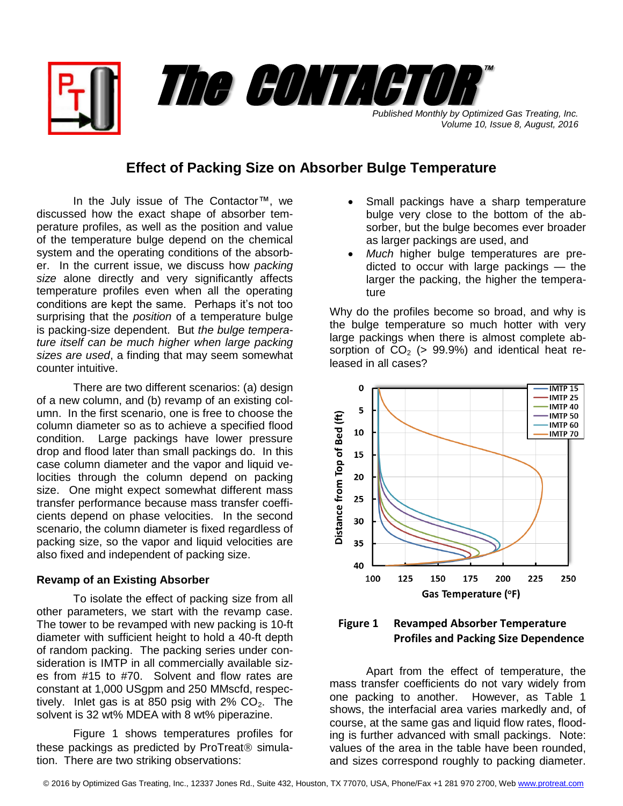*Published Monthly by Optimized Gas Treating, Inc. Volume 10, Issue 8, August, 2016*

™

## **Effect of Packing Size on Absorber Bulge Temperature**

The CONTACTOR

In the July issue of The Contactor™, we discussed how the exact shape of absorber temperature profiles, as well as the position and value of the temperature bulge depend on the chemical system and the operating conditions of the absorber. In the current issue, we discuss how *packing size* alone directly and very significantly affects temperature profiles even when all the operating conditions are kept the same. Perhaps it's not too surprising that the *position* of a temperature bulge is packing-size dependent. But *the bulge temperature itself can be much higher when large packing sizes are used*, a finding that may seem somewhat counter intuitive.

There are two different scenarios: (a) design of a new column, and (b) revamp of an existing column. In the first scenario, one is free to choose the column diameter so as to achieve a specified flood condition. Large packings have lower pressure drop and flood later than small packings do. In this case column diameter and the vapor and liquid velocities through the column depend on packing size. One might expect somewhat different mass transfer performance because mass transfer coefficients depend on phase velocities. In the second scenario, the column diameter is fixed regardless of packing size, so the vapor and liquid velocities are also fixed and independent of packing size.

## **Revamp of an Existing Absorber**

To isolate the effect of packing size from all other parameters, we start with the revamp case. The tower to be revamped with new packing is 10-ft diameter with sufficient height to hold a 40-ft depth of random packing. The packing series under consideration is IMTP in all commercially available sizes from #15 to #70. Solvent and flow rates are constant at 1,000 USgpm and 250 MMscfd, respectively. Inlet gas is at 850 psig with  $2\%$  CO<sub>2</sub>. The solvent is 32 wt% MDEA with 8 wt% piperazine.

Figure 1 shows temperatures profiles for these packings as predicted by ProTreat $@$  simulation. There are two striking observations:

- Small packings have a sharp temperature bulge very close to the bottom of the absorber, but the bulge becomes ever broader as larger packings are used, and
- *Much* higher bulge temperatures are predicted to occur with large packings — the larger the packing, the higher the temperature

Why do the profiles become so broad, and why is the bulge temperature so much hotter with very large packings when there is almost complete absorption of  $CO<sub>2</sub>$  (> 99.9%) and identical heat released in all cases?





Apart from the effect of temperature, the mass transfer coefficients do not vary widely from one packing to another. However, as Table 1 shows, the interfacial area varies markedly and, of course, at the same gas and liquid flow rates, flooding is further advanced with small packings. Note: values of the area in the table have been rounded, and sizes correspond roughly to packing diameter.